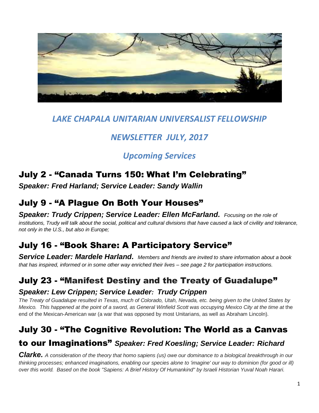

# *LAKE CHAPALA UNITARIAN UNIVERSALIST FELLOWSHIP*

# *NEWSLETTER JULY, 2017*

# *Upcoming Services*

# July 2 - "Canada Turns 150: What I'm Celebrating"

*Speaker: Fred Harland; Service Leader: Sandy Wallin*

# July 9 - "A Plague On Both Your Houses"

*Speaker: Trudy Crippen; Service Leader: Ellen McFarland. Focusing on the role of institutions, Trudy will talk about the social, political and cultural divisions that have caused a lack of civility and tolerance, not only in the U.S., but also in Europe;*

# July 16 - "Book Share: A Participatory Service"

*Service Leader: Mardele Harland. Members and friends are invited to share information about a book that has inspired, informed or in some other way enriched their lives – see page 2 for participation instructions.*

# July 23 - "Manifest Destiny and the Treaty of Guadalupe"

#### *Speaker: Lew Crippen; Service Leader: Trudy Crippen*

*The Treaty of Guadalupe resulted in Texas, much of Colorado, Utah, Nevada, etc. being given to the United States by Mexico. This happened at the point of a sword, as General Winfield Scott was occupying Mexico City at the time at* the end of the Mexican-American war (a war that was opposed by most Unitarians, as well as Abraham Lincoln).

# July 30 - "The Cognitive Revolution: The World as a Canvas

### to our Imaginations" *Speaker: Fred Koesling; Service Leader: Richard*

*Clarke. A consideration of the theory that homo sapiens (us) owe our dominance to a biological breakthrough in our thinking processes; enhanced imaginations, enabling our species alone to 'imagine' our way to dominion (for good or ill) over this world. Based on the book "Sapiens: A Brief History Of Humankind" by Israeli Historian Yuval Noah Harari.*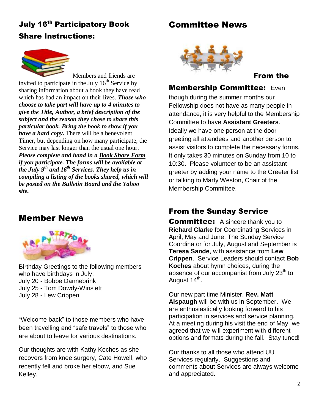# **July 16th Participatory Book** Share Instructions:



Members and friends are invited to participate in the July  $16<sup>th</sup>$  Service by sharing information about a book they have read which has had an impact on their lives. *Those who choose to take part will have up to 4 minutes to give the Title, Author, a brief description of the subject and the reason they chose to share this particular book. Bring the book to show if you have a hard copy.* There will be a benevolent Timer, but depending on how many participate, the Service may last longer than the usual one hour. *Please complete and hand in a Book Share Form if you participate. The forms will be available at the July 9th and 16th Services. They help us in compiling a listing of the books shared, which will be posted on the Bulletin Board and the Yahoo site.*

### Member News



Birthday Greetings to the following members who have birthdays in July: July 20 - Bobbe Dannebrink July 25 - Tom Dowdy-Winslett July 28 - Lew Crippen

"Welcome back" to those members who have been travelling and "safe travels" to those who are about to leave for various destinations.

Our thoughts are with Kathy Koches as she recovers from knee surgery, Cate Howell, who recently fell and broke her elbow, and Sue Kelley.

### Committee News



#### From the

#### Membership Committee: Even

though during the summer months our Fellowship does not have as many people in attendance, it is very helpful to the Membership Committee to have **Assistant Greeters**. Ideally we have one person at the door greeting all attendees and another person to assist visitors to complete the necessary forms. It only takes 30 minutes on Sunday from 10 to 10:30. Please volunteer to be an assistant greeter by adding your name to the Greeter list or talking to Marty Weston, Chair of the Membership Committee.

#### From the Sunday Service

**Committee:** A sincere thank you to **Richard Clarke** for Coordinating Services in April, May and June. The Sunday Service Coordinator for July, August and September is **Teresa Sande**, with assistance from **Lew Crippen**. Service Leaders should contact **Bob Koches** about hymn choices, during the absence of our accompanist from July 23<sup>th</sup> to August 14<sup>th</sup>.

Our new part time Minister, **Rev. Matt Alspaugh** will be with us in September. We are enthusiastically looking forward to his participation in services and service planning. At a meeting during his visit the end of May, we agreed that we will experiment with different options and formats during the fall. Stay tuned!

Our thanks to all those who attend UU Services regularly. Suggestions and comments about Services are always welcome and appreciated.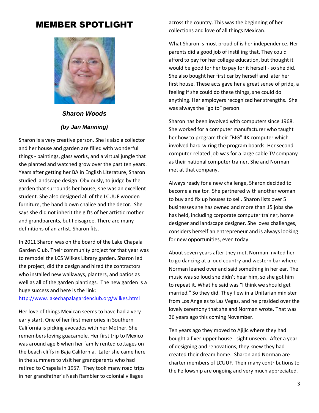### MEMBER SPOTLIGHT



### *Sharon Woods (by Jan Manning)*

Sharon is a very creative person. She is also a collector and her house and garden are filled with wonderful things - paintings, glass works, and a virtual jungle that she planted and watched grow over the past ten years. Years after getting her BA in English Literature, Sharon studied landscape design. Obviously, to judge by the garden that surrounds her house, she was an excellent student. She also designed all of the LCUUF wooden furniture, the hand blown chalice and the decor. She says she did not inherit the gifts of her artistic mother and grandparents, but I disagree. There are many definitions of an artist. Sharon fits.

In 2011 Sharon was on the board of the Lake Chapala Garden Club. Their community project for that year was to remodel the LCS Wilkes Library garden. Sharon led the project, did the design and hired the contractors who installed new walkways, planters, and patios as well as all of the garden plantings. The new garden is a huge success and here is the link:

#### <http://www.lakechapalagardenclub.org/wilkes.html>

Her love of things Mexican seems to have had a very early start. One of her first memories in Southern California is picking avocados with her Mother. She remembers loving guacamole. Her first trip to Mexico was around age 6 when her family rented cottages on the beach cliffs in Baja California. Later she came here in the summers to visit her grandparents who had retired to Chapala in 1957. They took many road trips in her grandfather's Nash Rambler to colonial villages

across the country. This was the beginning of her collections and love of all things Mexican.

What Sharon is most proud of is her independence. Her parents did a good job of instilling that. They could afford to pay for her college education, but thought it would be good for her to pay for it herself - so she did. She also bought her first car by herself and later her first house. These acts gave her a great sense of pride, a feeling if she could do these things, she could do anything. Her employers recognized her strengths. She was always the "go to" person.

Sharon has been involved with computers since 1968. She worked for a computer manufacturer who taught her how to program their "BIG" 4K computer which involved hard-wiring the program boards. Her second computer-related job was for a large cable TV company as their national computer trainer. She and Norman met at that company.

Always ready for a new challenge, Sharon decided to become a realtor. She partnered with another woman to buy and fix up houses to sell. Sharon lists over 5 businesses she has owned and more than 15 jobs she has held, including corporate computer trainer, home designer and landscape designer. She loves challenges, considers herself an entrepreneur and is always looking for new opportunities, even today.

About seven years after they met, Norman invited her to go dancing at a loud country and western bar where Norman leaned over and said something in her ear. The music was so loud she didn't hear him, so she got him to repeat it. What he said was "I think we should get married." So they did. They flew in a Unitarian minister from Los Angeles to Las Vegas, and he presided over the lovely ceremony that she and Norman wrote. That was 36 years ago this coming November.

Ten years ago they moved to Ajijic where they had bought a fixer-upper house - sight unseen. After a year of designing and renovations, they knew they had created their dream home. Sharon and Norman are charter members of LCUUF. Their many contributions to the Fellowship are ongoing and very much appreciated.